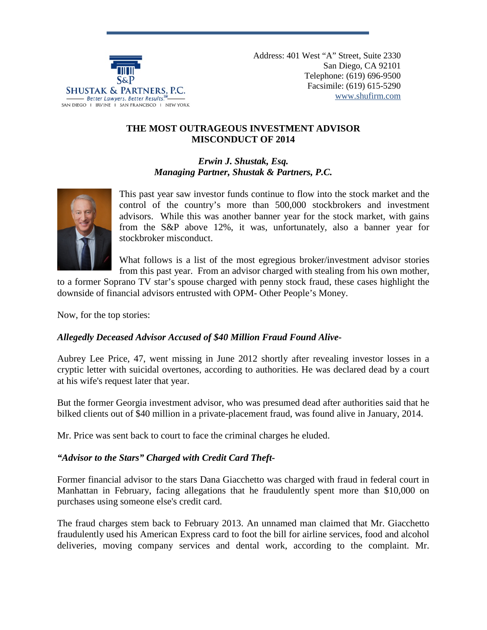

Address: 401 West "A" Street, Suite 2330 San Diego, CA 92101 Telephone: (619) 696-9500 Facsimile: (619) 615-5290 [www.shufirm.com](http://www.shufirm.com/)

#### **THE MOST OUTRAGEOUS INVESTMENT ADVISOR MISCONDUCT OF 2014**

*Erwin J. Shustak, Esq. Managing Partner, Shustak & Partners, P.C.*



This past year saw investor funds continue to flow into the stock market and the control of the country's more than 500,000 stockbrokers and investment advisors. While this was another banner year for the stock market, with gains from the S&P above 12%, it was, unfortunately, also a banner year for stockbroker misconduct.

What follows is a list of the most egregious broker/investment advisor stories from this past year. From an advisor charged with stealing from his own mother,

to a former Soprano TV star's spouse charged with penny stock fraud, these cases highlight the downside of financial advisors entrusted with OPM- Other People's Money.

Now, for the top stories:

#### *Allegedly Deceased Advisor Accused of \$40 Million Fraud Found Alive-*

Aubrey Lee Price, 47, went missing in June 2012 shortly after revealing investor losses in a cryptic letter with suicidal overtones, according to authorities. He was declared dead by a court at his wife's request later that year.

But the former Georgia investment advisor, who was presumed dead after authorities said that he bilked clients out of \$40 million in a private-placement fraud, was found alive in January, 2014.

Mr. Price was sent back to court to face the criminal charges he eluded.

# *"Advisor to the Stars" Charged with Credit Card Theft-*

Former financial advisor to the stars Dana Giacchetto was charged with fraud in federal court in Manhattan in February, facing allegations that he fraudulently spent more than \$10,000 on purchases using someone else's credit card.

The fraud charges stem back to February 2013. An unnamed man claimed that Mr. Giacchetto fraudulently used his American Express card to foot the bill for airline services, food and alcohol deliveries, moving company services and dental work, according to the complaint. Mr.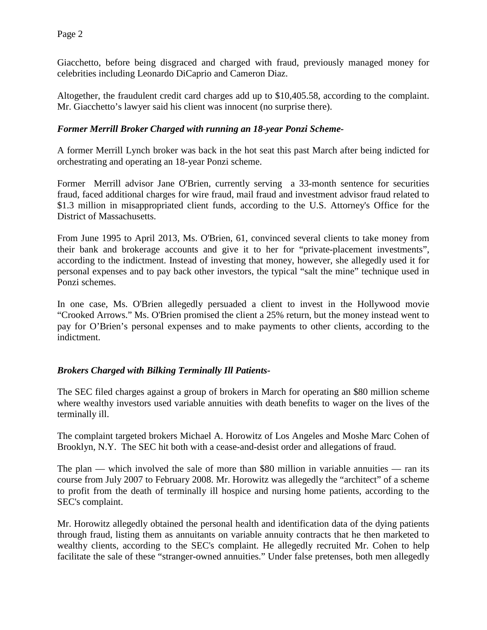Giacchetto, before being disgraced and charged with fraud, previously managed money for celebrities including Leonardo DiCaprio and Cameron Diaz.

Altogether, the fraudulent credit card charges add up to \$10,405.58, according to the complaint. Mr. Giacchetto's lawyer said his client was innocent (no surprise there).

#### *Former Merrill Broker Charged with running an 18-year Ponzi Scheme-*

A former Merrill Lynch broker was back in the hot seat this past March after being indicted for orchestrating and operating an 18-year Ponzi scheme.

Former Merrill advisor Jane O'Brien, currently serving a 33-month sentence for securities fraud, faced additional charges for wire fraud, mail fraud and investment advisor fraud related to \$1.3 million in misappropriated client funds, according to the U.S. Attorney's Office for the District of Massachusetts.

From June 1995 to April 2013, Ms. O'Brien, 61, convinced several clients to take money from their bank and brokerage accounts and give it to her for "private-placement investments", according to the indictment. Instead of investing that money, however, she allegedly used it for personal expenses and to pay back other investors, the typical "salt the mine" technique used in Ponzi schemes.

In one case, Ms. O'Brien allegedly persuaded a client to invest in the Hollywood movie "Crooked Arrows." Ms. O'Brien promised the client a 25% return, but the money instead went to pay for O'Brien's personal expenses and to make payments to other clients, according to the indictment.

#### *Brokers Charged with Bilking Terminally Ill Patients-*

The SEC filed charges against a group of brokers in March for operating an \$80 million scheme where wealthy investors used variable annuities with death benefits to wager on the lives of the terminally ill.

The complaint targeted brokers Michael A. Horowitz of Los Angeles and Moshe Marc Cohen of Brooklyn, N.Y. The SEC hit both with a cease-and-desist order and allegations of fraud.

The plan — which involved the sale of more than \$80 million in variable annuities — ran its course from July 2007 to February 2008. Mr. Horowitz was allegedly the "architect" of a scheme to profit from the death of terminally ill hospice and nursing home patients, according to the SEC's complaint.

Mr. Horowitz allegedly obtained the personal health and identification data of the dying patients through fraud, listing them as annuitants on variable annuity contracts that he then marketed to wealthy clients, according to the SEC's complaint. He allegedly recruited Mr. Cohen to help facilitate the sale of these "stranger-owned annuities." Under false pretenses, both men allegedly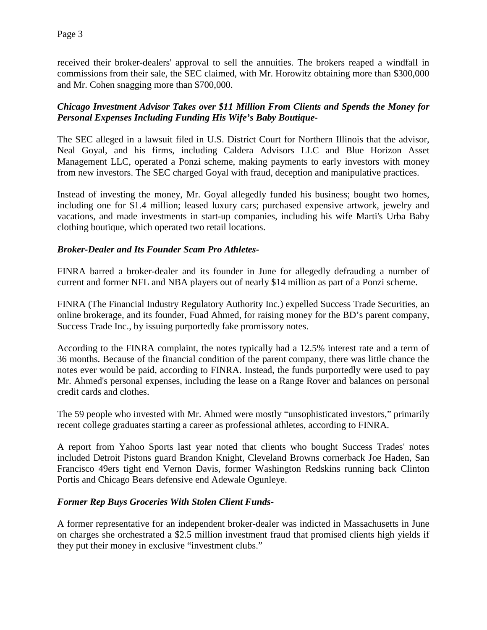received their broker-dealers' approval to sell the annuities. The brokers reaped a windfall in commissions from their sale, the SEC claimed, with Mr. Horowitz obtaining more than \$300,000 and Mr. Cohen snagging more than \$700,000.

# *Chicago Investment Advisor Takes over \$11 Million From Clients and Spends the Money for Personal Expenses Including Funding His Wife's Baby Boutique-*

The SEC alleged in a lawsuit filed in U.S. District Court for Northern Illinois that the advisor, Neal Goyal, and his firms, including Caldera Advisors LLC and Blue Horizon Asset Management LLC, operated a Ponzi scheme, making payments to early investors with money from new investors. The SEC charged Goyal with fraud, deception and manipulative practices.

Instead of investing the money, Mr. Goyal allegedly funded his business; bought two homes, including one for \$1.4 million; leased luxury cars; purchased expensive artwork, jewelry and vacations, and made investments in start-up companies, including his wife Marti's Urba Baby clothing boutique, which operated two retail locations.

# *Broker-Dealer and Its Founder Scam Pro Athletes-*

FINRA barred a broker-dealer and its founder in June for allegedly defrauding a number of current and former NFL and NBA players out of nearly \$14 million as part of a Ponzi scheme.

FINRA (The Financial Industry Regulatory Authority Inc.) expelled Success Trade Securities, an online brokerage, and its founder, Fuad Ahmed, for raising money for the BD's parent company, Success Trade Inc., by issuing purportedly fake promissory notes.

According to the FINRA complaint, the notes typically had a 12.5% interest rate and a term of 36 months. Because of the financial condition of the parent company, there was little chance the notes ever would be paid, according to FINRA. Instead, the funds purportedly were used to pay Mr. Ahmed's personal expenses, including the lease on a Range Rover and balances on personal credit cards and clothes.

The 59 people who invested with Mr. Ahmed were mostly "unsophisticated investors," primarily recent college graduates starting a career as professional athletes, according to FINRA.

A report from Yahoo Sports last year noted that clients who bought Success Trades' notes included Detroit Pistons guard Brandon Knight, Cleveland Browns cornerback Joe Haden, San Francisco 49ers tight end Vernon Davis, former Washington Redskins running back Clinton Portis and Chicago Bears defensive end Adewale Ogunleye.

# *Former Rep Buys Groceries With Stolen Client Funds-*

A former representative for an independent broker-dealer was indicted in Massachusetts in June on charges she orchestrated a \$2.5 million investment fraud that promised clients high yields if they put their money in exclusive "investment clubs."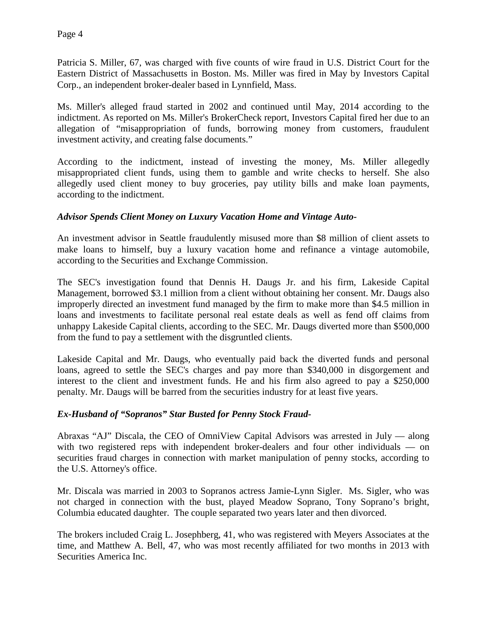Patricia S. Miller, 67, was charged with five counts of wire fraud in U.S. District Court for the Eastern District of Massachusetts in Boston. Ms. Miller was fired in May by Investors Capital Corp., an independent broker-dealer based in Lynnfield, Mass.

Ms. Miller's alleged fraud started in 2002 and continued until May, 2014 according to the indictment. As reported on Ms. Miller's BrokerCheck report, Investors Capital fired her due to an allegation of "misappropriation of funds, borrowing money from customers, fraudulent investment activity, and creating false documents."

According to the indictment, instead of investing the money, Ms. Miller allegedly misappropriated client funds, using them to gamble and write checks to herself. She also allegedly used client money to buy groceries, pay utility bills and make loan payments, according to the indictment.

#### *Advisor Spends Client Money on Luxury Vacation Home and Vintage Auto-*

An investment advisor in Seattle fraudulently misused more than \$8 million of client assets to make loans to himself, buy a luxury vacation home and refinance a vintage automobile, according to the Securities and Exchange Commission.

The SEC's investigation found that Dennis H. Daugs Jr. and his firm, Lakeside Capital Management, borrowed \$3.1 million from a client without obtaining her consent. Mr. Daugs also improperly directed an investment fund managed by the firm to make more than \$4.5 million in loans and investments to facilitate personal real estate deals as well as fend off claims from unhappy Lakeside Capital clients, according to the SEC. Mr. Daugs diverted more than \$500,000 from the fund to pay a settlement with the disgruntled clients.

Lakeside Capital and Mr. Daugs, who eventually paid back the diverted funds and personal loans, agreed to settle the SEC's charges and pay more than \$340,000 in disgorgement and interest to the client and investment funds. He and his firm also agreed to pay a \$250,000 penalty. Mr. Daugs will be barred from the securities industry for at least five years.

# *Ex-Husband of "Sopranos" Star Busted for Penny Stock Fraud-*

Abraxas "AJ" Discala, the CEO of OmniView Capital Advisors was arrested in July — along with two registered reps with independent broker-dealers and four other individuals — on securities fraud charges in connection with market manipulation of penny stocks, according to the U.S. Attorney's office.

Mr. Discala was married in 2003 to Sopranos actress Jamie-Lynn Sigler. Ms. Sigler, who was not charged in connection with the bust, played Meadow Soprano, Tony Soprano's bright, Columbia educated daughter. The couple separated two years later and then divorced.

The brokers included Craig L. Josephberg, 41, who was registered with Meyers Associates at the time, and Matthew A. Bell, 47, who was most recently affiliated for two months in 2013 with Securities America Inc.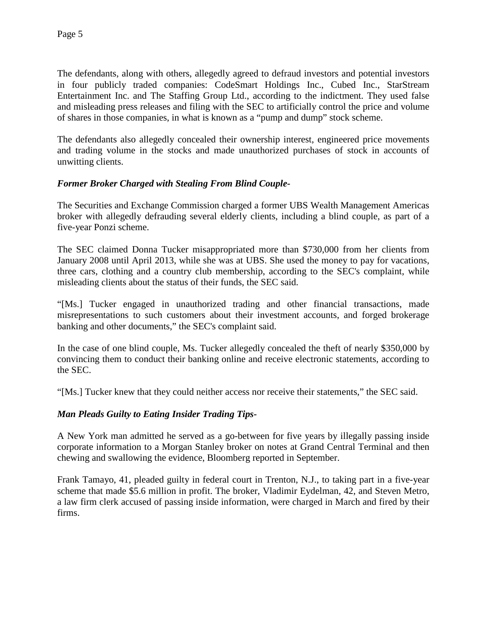The defendants, along with others, allegedly agreed to defraud investors and potential investors in four publicly traded companies: CodeSmart Holdings Inc., Cubed Inc., StarStream Entertainment Inc. and The Staffing Group Ltd., according to the indictment. They used false and misleading press releases and filing with the SEC to artificially control the price and volume of shares in those companies, in what is known as a "pump and dump" stock scheme.

The defendants also allegedly concealed their ownership interest, engineered price movements and trading volume in the stocks and made unauthorized purchases of stock in accounts of unwitting clients.

# *Former Broker Charged with Stealing From Blind Couple-*

The Securities and Exchange Commission charged a former UBS Wealth Management Americas broker with allegedly defrauding several elderly clients, including a blind couple, as part of a five-year Ponzi scheme.

The SEC claimed Donna Tucker misappropriated more than \$730,000 from her clients from January 2008 until April 2013, while she was at UBS. She used the money to pay for vacations, three cars, clothing and a country club membership, according to the SEC's complaint, while misleading clients about the status of their funds, the SEC said.

"[Ms.] Tucker engaged in unauthorized trading and other financial transactions, made misrepresentations to such customers about their investment accounts, and forged brokerage banking and other documents," the SEC's complaint said.

In the case of one blind couple, Ms. Tucker allegedly concealed the theft of nearly \$350,000 by convincing them to conduct their banking online and receive electronic statements, according to the SEC.

"[Ms.] Tucker knew that they could neither access nor receive their statements," the SEC said.

# *Man Pleads Guilty to Eating Insider Trading Tips-*

A New York man admitted he served as a go-between for five years by illegally passing inside corporate information to a Morgan Stanley broker on notes at Grand Central Terminal and then chewing and swallowing the evidence, Bloomberg reported in September.

Frank Tamayo, 41, pleaded guilty in federal court in Trenton, N.J., to taking part in a five-year scheme that made \$5.6 million in profit. The broker, Vladimir Eydelman, 42, and Steven Metro, a law firm clerk accused of passing inside information, were charged in March and fired by their firms.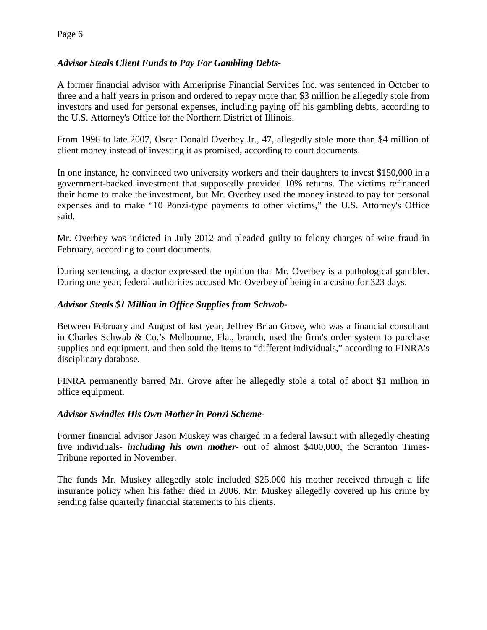# *Advisor Steals Client Funds to Pay For Gambling Debts-*

A former financial advisor with Ameriprise Financial Services Inc. was sentenced in October to three and a half years in prison and ordered to repay more than \$3 million he allegedly stole from investors and used for personal expenses, including paying off his gambling debts, according to the U.S. Attorney's Office for the Northern District of Illinois.

From 1996 to late 2007, Oscar Donald Overbey Jr., 47, allegedly stole more than \$4 million of client money instead of investing it as promised, according to court documents.

In one instance, he convinced two university workers and their daughters to invest \$150,000 in a government-backed investment that supposedly provided 10% returns. The victims refinanced their home to make the investment, but Mr. Overbey used the money instead to pay for personal expenses and to make "10 Ponzi-type payments to other victims," the U.S. Attorney's Office said.

Mr. Overbey was indicted in July 2012 and pleaded guilty to felony charges of wire fraud in February, according to court documents.

During sentencing, a doctor expressed the opinion that Mr. Overbey is a pathological gambler. During one year, federal authorities accused Mr. Overbey of being in a casino for 323 days.

# *Advisor Steals \$1 Million in Office Supplies from Schwab-*

Between February and August of last year, Jeffrey Brian Grove, who was a financial consultant in Charles Schwab & Co.'s Melbourne, Fla., branch, used the firm's order system to purchase supplies and equipment, and then sold the items to "different individuals," according to FINRA's disciplinary database.

FINRA permanently barred Mr. Grove after he allegedly stole a total of about \$1 million in office equipment.

# *Advisor Swindles His Own Mother in Ponzi Scheme-*

Former financial advisor Jason Muskey was charged in a federal lawsuit with allegedly cheating five individuals- *including his own mother-* out of almost \$400,000, the Scranton Times-Tribune reported in November.

The funds Mr. Muskey allegedly stole included \$25,000 his mother received through a life insurance policy when his father died in 2006. Mr. Muskey allegedly covered up his crime by sending false quarterly financial statements to his clients.